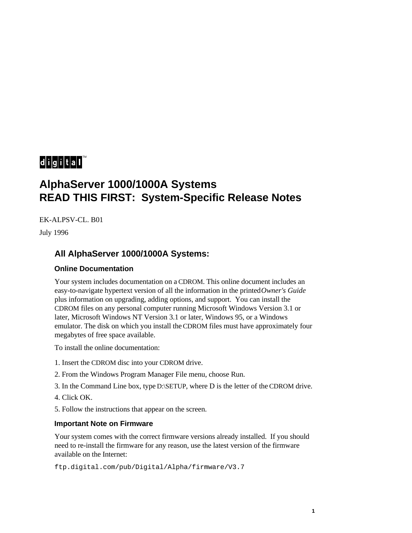# $\mathbf{d}$  i  $\mathbf{g}$  i  $\mathbf{t}$  all

# **AlphaServer 1000/1000A Systems READ THIS FIRST: System-Specific Release Notes**

EK-ALPSV-CL. B01

July 1996

# **All AlphaServer 1000/1000A Systems:**

## **Online Documentation**

Your system includes documentation on a CDROM. This online document includes an easy-to-navigate hypertext version of all the information in the printed *Owner's Guide* plus information on upgrading, adding options, and support. You can install the CDROM files on any personal computer running Microsoft Windows Version 3.1 or later, Microsoft Windows NT Version 3.1 or later, Windows 95, or a Windows emulator. The disk on which you install the CDROM files must have approximately four megabytes of free space available.

To install the online documentation:

- 1. Insert the CDROM disc into your CDROM drive.
- 2. From the Windows Program Manager File menu, choose Run.
- 3. In the Command Line box, type D:\SETUP, where D is the letter of the CDROM drive.
- 4. Click OK.
- 5. Follow the instructions that appear on the screen.

### **Important Note on Firmware**

Your system comes with the correct firmware versions already installed. If you should need to re-install the firmware for any reason, use the latest version of the firmware available on the Internet:

ftp.digital.com/pub/Digital/Alpha/firmware/V3.7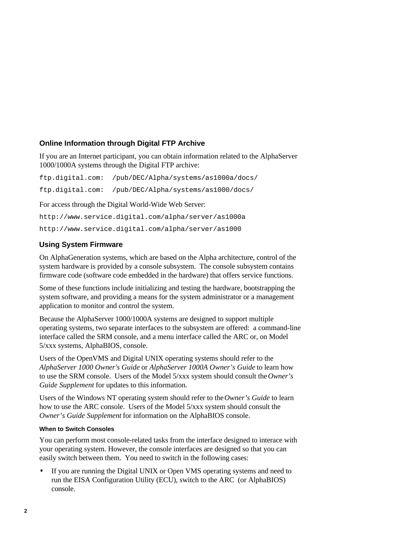# **Online Information through Digital FTP Archive**

If you are an Internet participant, you can obtain information related to the AlphaServer 1000/1000A systems through the Digital FTP archive:

ftp.digital.com: /pub/DEC/Alpha/systems/as1000a/docs/ ftp.digital.com: /pub/DEC/Alpha/systems/as1000/docs/

For access through the Digital World-Wide Web Server:

http://www.service.digital.com/alpha/server/as1000a http://www.service.digital.com/alpha/server/as1000

# **Using System Firmware**

On AlphaGeneration systems, which are based on the Alpha architecture, control of the system hardware is provided by a console subsystem. The console subsystem contains firmware code (software code embedded in the hardware) that offers service functions.

Some of these functions include initializing and testing the hardware, bootstrapping the system software, and providing a means for the system administrator or a management application to monitor and control the system.

Because the AlphaServer 1000/1000A systems are designed to support multiple operating systems, two separate interfaces to the subsystem are offered: a command-line interface called the SRM console, and a menu interface called the ARC or, on Model 5/xxx systems, AlphaBIOS, console.

Users of the OpenVMS and Digital UNIX operating systems should refer to the *AlphaServer 1000 Owner's Guide* or *AlphaServer 1000A Owner's Guide* to learn how to use the SRM console. Users of the Model 5/xxx system should consult the *Owner's Guide Supplement* for updates to this information.

Users of the Windows NT operating system should refer to the *Owner's Guide* to learn how to use the ARC console. Users of the Model 5/xxx system should consult the *Owner's Guide Supplement* for information on the AlphaBIOS console.

### **When to Switch Consoles**

You can perform most console-related tasks from the interface designed to interace with your operating system. However, the console interfaces are designed so that you can easily switch between them. You need to switch in the following cases:

• If you are running the Digital UNIX or Open VMS operating systems and need to run the EISA Configuration Utility (ECU), switch to the ARC (or AlphaBIOS) console.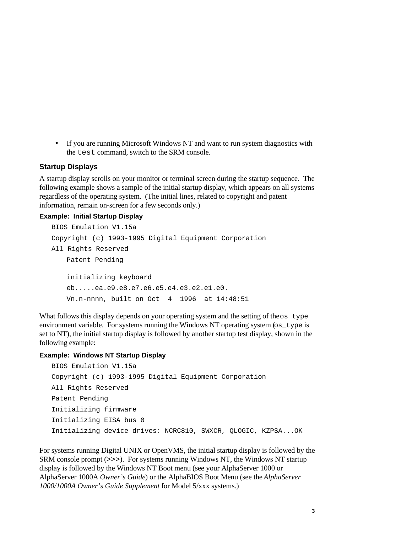• If you are running Microsoft Windows NT and want to run system diagnostics with the test command, switch to the SRM console.

#### **Startup Displays**

A startup display scrolls on your monitor or terminal screen during the startup sequence. The following example shows a sample of the initial startup display, which appears on all systems regardless of the operating system. (The initial lines, related to copyright and patent information, remain on-screen for a few seconds only.)

#### **Example: Initial Startup Display**

```
BIOS Emulation V1.15a
Copyright (c) 1993-1995 Digital Equipment Corporation
All Rights Reserved
   Patent Pending
   initializing keyboard
   eb.....ea.e9.e8.e7.e6.e5.e4.e3.e2.e1.e0.
   Vn.n-nnnn, built on Oct 4 1996 at 14:48:51
```
What follows this display depends on your operating system and the setting of the  $\infty$  type environment variable. For systems running the Windows NT operating system (os\_type is set to NT), the initial startup display is followed by another startup test display, shown in the following example:

#### **Example: Windows NT Startup Display**

```
BIOS Emulation V1.15a
Copyright (c) 1993-1995 Digital Equipment Corporation
All Rights Reserved
Patent Pending
Initializing firmware
Initializing EISA bus 0
Initializing device drives: NCRC810, SWXCR, QLOGIC, KZPSA...OK
```
For systems running Digital UNIX or OpenVMS, the initial startup display is followed by the SRM console prompt (>>>). For systems running Windows NT, the Windows NT startup display is followed by the Windows NT Boot menu (see your AlphaServer 1000 or AlphaServer 1000A *Owner's Guide*) or the AlphaBIOS Boot Menu (see the *AlphaServer 1000/1000A Owner's Guide Supplement* for Model 5/xxx systems.)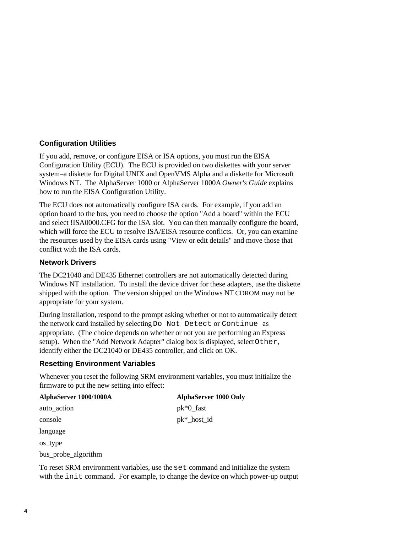# **Configuration Utilities**

If you add, remove, or configure EISA or ISA options, you must run the EISA Configuration Utility (ECU). The ECU is provided on two diskettes with your server system–a diskette for Digital UNIX and OpenVMS Alpha and a diskette for Microsoft Windows NT. The AlphaServer 1000 or AlphaServer 1000A *Owner's Guide* explains how to run the EISA Configuration Utility.

The ECU does not automatically configure ISA cards. For example, if you add an option board to the bus, you need to choose the option "Add a board" within the ECU and select !ISA0000.CFG for the ISA slot. You can then manually configure the board, which will force the ECU to resolve ISA/EISA resource conflicts. Or, you can examine the resources used by the EISA cards using "View or edit details" and move those that conflict with the ISA cards.

# **Network Drivers**

The DC21040 and DE435 Ethernet controllers are not automatically detected during Windows NT installation. To install the device driver for these adapters, use the diskette shipped with the option. The version shipped on the Windows NT CDROM may not be appropriate for your system.

During installation, respond to the prompt asking whether or not to automatically detect the network card installed by selecting Do Not Detect or Continue as appropriate. (The choice depends on whether or not you are performing an Express setup). When the "Add Network Adapter" dialog box is displayed, select Other, identify either the DC21040 or DE435 controller, and click on OK.

# **Resetting Environment Variables**

Whenever you reset the following SRM environment variables, you must initialize the firmware to put the new setting into effect:

| <b>AlphaServer 1000 Only</b> |
|------------------------------|
| $pk*0_fast$                  |
| $pk*__host__id$              |
|                              |
|                              |
|                              |

bus\_probe\_algorithm

To reset SRM environment variables, use the set command and initialize the system with the init command. For example, to change the device on which power-up output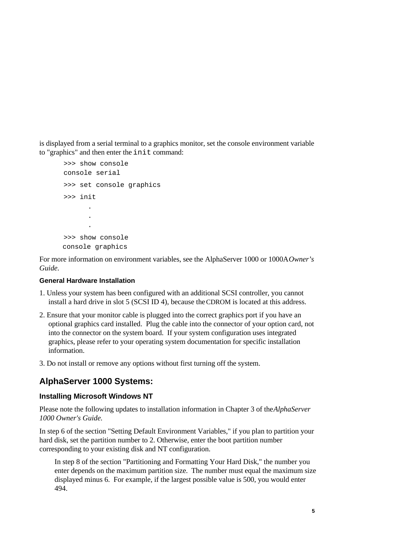is displayed from a serial terminal to a graphics monitor, set the console environment variable to "graphics" and then enter the init command:

```
>>> show console
console serial
>>> set console graphics
>>> init
 .
 .
 .
>>> show console
console graphics
```
For more information on environment variables, see the AlphaServer 1000 or 1000A *Owner's Guide.*

### **General Hardware Installation**

- 1. Unless your system has been configured with an additional SCSI controller, you cannot install a hard drive in slot 5 (SCSI ID 4), because the CDROM is located at this address.
- 2. Ensure that your monitor cable is plugged into the correct graphics port if you have an optional graphics card installed. Plug the cable into the connector of your option card, not into the connector on the system board. If your system configuration uses integrated graphics, please refer to your operating system documentation for specific installation information.
- 3. Do not install or remove any options without first turning off the system.

# **AlphaServer 1000 Systems:**

### **Installing Microsoft Windows NT**

Please note the following updates to installation information in Chapter 3 of the *AlphaServer 1000 Owner's Guide.*

In step 6 of the section "Setting Default Environment Variables," if you plan to partition your hard disk, set the partition number to 2. Otherwise, enter the boot partition number corresponding to your existing disk and NT configuration.

In step 8 of the section "Partitioning and Formatting Your Hard Disk," the number you enter depends on the maximum partition size. The number must equal the maximum size displayed minus 6. For example, if the largest possible value is 500, you would enter 494.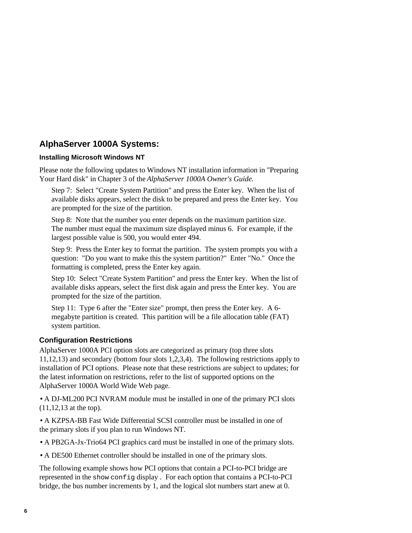# **AlphaServer 1000A Systems:**

### **Installing Microsoft Windows NT**

Please note the following updates to Windows NT installation information in "Preparing Your Hard disk" in Chapter 3 of the *AlphaServer 1000A Owner's Guide*.

Step 7: Select "Create System Partition" and press the Enter key. When the list of available disks appears, select the disk to be prepared and press the Enter key. You are prompted for the size of the partition.

Step 8: Note that the number you enter depends on the maximum partition size. The number must equal the maximum size displayed minus 6. For example, if the largest possible value is 500, you would enter 494.

Step 9: Press the Enter key to format the partition. The system prompts you with a question: "Do you want to make this the system partition?" Enter "No." Once the formatting is completed, press the Enter key again.

Step 10: Select "Create System Partition" and press the Enter key. When the list of available disks appears, select the first disk again and press the Enter key. You are prompted for the size of the partition.

Step 11: Type 6 after the "Enter size" prompt, then press the Enter key. A 6 megabyte partition is created. This partition will be a file allocation table (FAT) system partition.

## **Configuration Restrictions**

AlphaServer 1000A PCI option slots are categorized as primary (top three slots 11,12,13) and secondary (bottom four slots 1,2,3,4). The following restrictions apply to installation of PCI options. Please note that these restrictions are subject to updates; for the latest information on restrictions, refer to the list of supported options on the AlphaServer 1000A World Wide Web page.

• A DJ-ML200 PCI NVRAM module must be installed in one of the primary PCI slots (11,12,13 at the top).

• A KZPSA-BB Fast Wide Differential SCSI controller must be installed in one of the primary slots if you plan to run Windows NT.

• A PB2GA-Jx-Trio64 PCI graphics card must be installed in one of the primary slots.

• A DE500 Ethernet controller should be installed in one of the primary slots.

The following example shows how PCI options that contain a PCI-to-PCI bridge are represented in the show config display . For each option that contains a PCI-to-PCI bridge, the bus number increments by 1, and the logical slot numbers start anew at 0.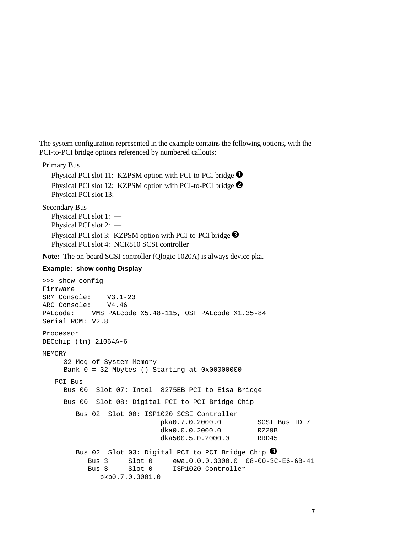The system configuration represented in the example contains the following options, with the PCI-to-PCI bridge options referenced by numbered callouts:

Primary Bus

Physical PCI slot 11: KZPSM option with PCI-to-PCI bridge  $\bullet$ Physical PCI slot 12: KZPSM option with PCI-to-PCI bridge <sup>2</sup> Physical PCI slot 13: —

Secondary Bus

Physical PCI slot 1: — Physical PCI slot 2: — Physical PCI slot 3: KZPSM option with PCI-to-PCI bridge  $\bullet$ Physical PCI slot 4: NCR810 SCSI controller

**Note:** The on-board SCSI controller (Qlogic 1020A) is always device pka.

#### **Example: show config Display**

```
>>> show config
Firmware
SRM Console: V3.1-23
ARC Console: V4.46
PALcode: VMS PALcode X5.48-115, OSF PALcode X1.35-84
Serial ROM: V2.8
Processor
DECchip (tm) 21064A-6
MEMORY
     32 Meg of System Memory
     Bank 0 = 32 Mbytes () Starting at 0x00000000
   PCI Bus
     Bus 00 Slot 07: Intel 8275EB PCI to Eisa Bridge
     Bus 00 Slot 08: Digital PCI to PCI Bridge Chip
         Bus 02 Slot 00: ISP1020 SCSI Controller
                             pka0.7.0.2000.0 SCSI Bus ID 7
                             dka0.0.0.2000.0 RZ29B
                             dka500.5.0.2000.0 RRD45
        Bus 02 Slot 03: Digital PCI to PCI Bridge Chip \bigcircBus 3 Slot 0 ewa.0.0.0.3000.0 08-00-3C-E6-6B-41<br>Bus 3 Slot 0 ISP1020 Controller
           Bus 3 Slot 0 ISP1020 Controller
               pkb0.7.0.3001.0
```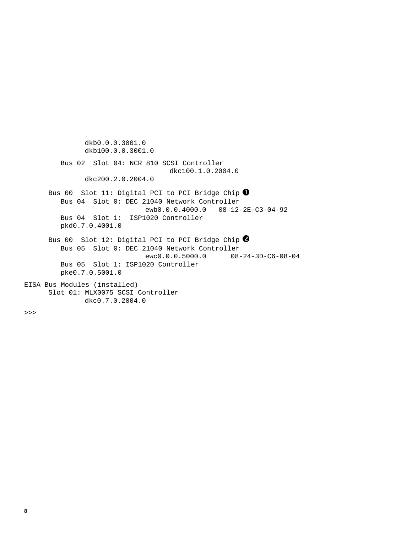dkb0.0.0.3001.0 dkb100.0.0.3001.0 Bus 02 Slot 04: NCR 810 SCSI Controller dkc100.1.0.2004.0 dkc200.2.0.2004.0 Bus 00 Slot 11: Digital PCI to PCI Bridge Chip  $\bullet$  Bus 04 Slot 0: DEC 21040 Network Controller ewb0.0.0.4000.0 08-12-2E-C3-04-92 Bus 04 Slot 1: ISP1020 Controller pkd0.7.0.4001.0 Bus 00 Slot 12: Digital PCI to PCI Bridge Chip  $\bullet$  Bus 05 Slot 0: DEC 21040 Network Controller ewc0.0.0.5000.0 08-24-3D-C6-08-04 Bus 05 Slot 1: ISP1020 Controller pke0.7.0.5001.0 EISA Bus Modules (installed) Slot 01: MLX0075 SCSI Controller dkc0.7.0.2004.0

>>>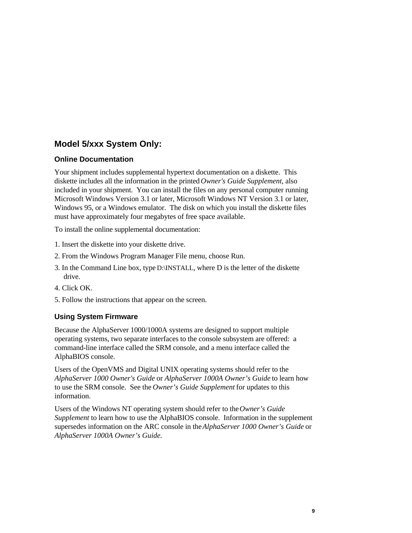# **Model 5/xxx System Only:**

# **Online Documentation**

Your shipment includes supplemental hypertext documentation on a diskette. This diskette includes all the information in the printed *Owner's Guide Supplement*, also included in your shipment. You can install the files on any personal computer running Microsoft Windows Version 3.1 or later, Microsoft Windows NT Version 3.1 or later, Windows 95, or a Windows emulator. The disk on which you install the diskette files must have approximately four megabytes of free space available.

To install the online supplemental documentation:

- 1. Insert the diskette into your diskette drive.
- 2. From the Windows Program Manager File menu, choose Run.
- 3. In the Command Line box, type D:\INSTALL, where D is the letter of the diskette drive.
- 4. Click OK.
- 5. Follow the instructions that appear on the screen.

# **Using System Firmware**

Because the AlphaServer 1000/1000A systems are designed to support multiple operating systems, two separate interfaces to the console subsystem are offered: a command-line interface called the SRM console, and a menu interface called the AlphaBIOS console.

Users of the OpenVMS and Digital UNIX operating systems should refer to the *AlphaServer 1000 Owner's Guide* or *AlphaServer 1000A Owner's Guide* to learn how to use the SRM console. See the *Owner's Guide Supplement* for updates to this information.

Users of the Windows NT operating system should refer to the *Owner's Guide Supplement* to learn how to use the AlphaBIOS console. Information in the supplement supersedes information on the ARC console in the *AlphaServer 1000 Owner's Guide* or *AlphaServer 1000A Owner's Guide.*